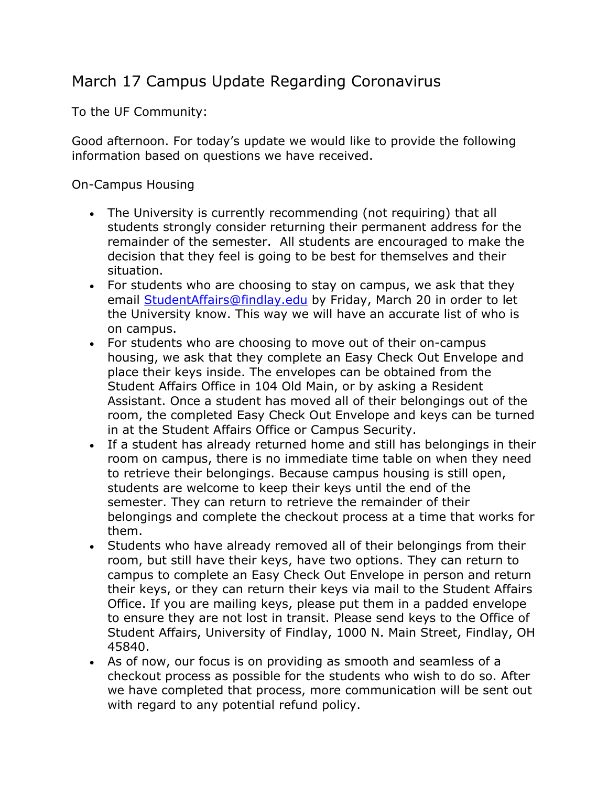## March 17 Campus Update Regarding Coronavirus

To the UF Community:

Good afternoon. For today's update we would like to provide the following information based on questions we have received.

On-Campus Housing

- The University is currently recommending (not requiring) that all students strongly consider returning their permanent address for the remainder of the semester. All students are encouraged to make the decision that they feel is going to be best for themselves and their situation.
- For students who are choosing to stay on campus, we ask that they email StudentAffairs@findlay.edu by Friday, March 20 in order to let the University know. This way we will have an accurate list of who is on campus.
- For students who are choosing to move out of their on-campus housing, we ask that they complete an Easy Check Out Envelope and place their keys inside. The envelopes can be obtained from the Student Affairs Office in 104 Old Main, or by asking a Resident Assistant. Once a student has moved all of their belongings out of the room, the completed Easy Check Out Envelope and keys can be turned in at the Student Affairs Office or Campus Security.
- If a student has already returned home and still has belongings in their room on campus, there is no immediate time table on when they need to retrieve their belongings. Because campus housing is still open, students are welcome to keep their keys until the end of the semester. They can return to retrieve the remainder of their belongings and complete the checkout process at a time that works for them.
- Students who have already removed all of their belongings from their room, but still have their keys, have two options. They can return to campus to complete an Easy Check Out Envelope in person and return their keys, or they can return their keys via mail to the Student Affairs Office. If you are mailing keys, please put them in a padded envelope to ensure they are not lost in transit. Please send keys to the Office of Student Affairs, University of Findlay, 1000 N. Main Street, Findlay, OH 45840.
- As of now, our focus is on providing as smooth and seamless of a checkout process as possible for the students who wish to do so. After we have completed that process, more communication will be sent out with regard to any potential refund policy.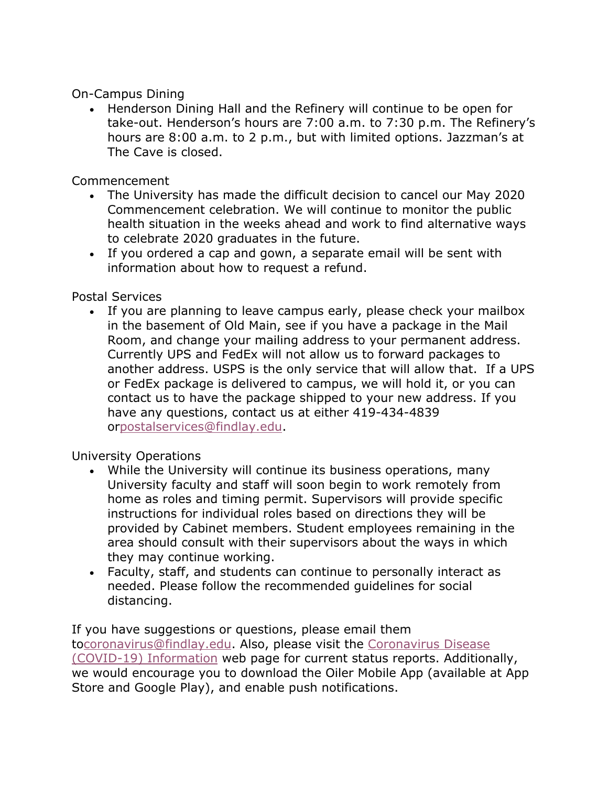On-Campus Dining

• Henderson Dining Hall and the Refinery will continue to be open for take-out. Henderson's hours are 7:00 a.m. to 7:30 p.m. The Refinery's hours are 8:00 a.m. to 2 p.m., but with limited options. Jazzman's at The Cave is closed.

Commencement

- The University has made the difficult decision to cancel our May 2020 Commencement celebration. We will continue to monitor the public health situation in the weeks ahead and work to find alternative ways to celebrate 2020 graduates in the future.
- If you ordered a cap and gown, a separate email will be sent with information about how to request a refund.

Postal Services

• If you are planning to leave campus early, please check your mailbox in the basement of Old Main, see if you have a package in the Mail Room, and change your mailing address to your permanent address. Currently UPS and FedEx will not allow us to forward packages to another address. USPS is the only service that will allow that. If a UPS or FedEx package is delivered to campus, we will hold it, or you can contact us to have the package shipped to your new address. If you have any questions, contact us at either 419-434-4839 orpostalservices@findlay.edu.

University Operations

- While the University will continue its business operations, many University faculty and staff will soon begin to work remotely from home as roles and timing permit. Supervisors will provide specific instructions for individual roles based on directions they will be provided by Cabinet members. Student employees remaining in the area should consult with their supervisors about the ways in which they may continue working.
- Faculty, staff, and students can continue to personally interact as needed. Please follow the recommended guidelines for social distancing.

If you have suggestions or questions, please email them tocoronavirus@findlay.edu. Also, please visit the Coronavirus Disease (COVID-19) Information web page for current status reports. Additionally, we would encourage you to download the Oiler Mobile App (available at App Store and Google Play), and enable push notifications.